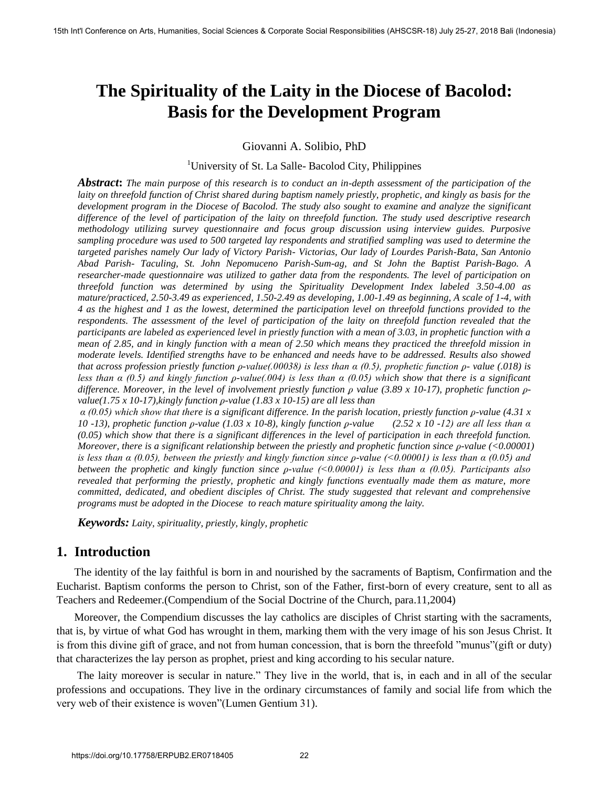# **The Spirituality of the Laity in the Diocese of Bacolod: Basis for the Development Program**

Giovanni A. Solibio, PhD

<sup>1</sup>University of St. La Salle- Bacolod City, Philippines

*Abstract***:** *The main purpose of this research is to conduct an in-depth assessment of the participation of the laity on threefold function of Christ shared during baptism namely priestly, prophetic, and kingly as basis for the development program in the Diocese of Bacolod. The study also sought to examine and analyze the significant difference of the level of participation of the laity on threefold function. The study used descriptive research methodology utilizing survey questionnaire and focus group discussion using interview guides. Purposive sampling procedure was used to 500 targeted lay respondents and stratified sampling was used to determine the targeted parishes namely Our lady of Victory Parish- Victorias, Our lady of Lourdes Parish-Bata, San Antonio Abad Parish- Taculing, St. John Nepomuceno Parish-Sum-ag, and St John the Baptist Parish-Bago. A researcher-made questionnaire was utilized to gather data from the respondents. The level of participation on threefold function was determined by using the Spirituality Development Index labeled 3.50-4.00 as mature/practiced, 2.50-3.49 as experienced, 1.50-2.49 as developing, 1.00-1.49 as beginning, A scale of 1-4, with 4 as the highest and 1 as the lowest, determined the participation level on threefold functions provided to the respondents. The assessment of the level of participation of the laity on threefold function revealed that the participants are labeled as experienced level in priestly function with a mean of 3.03, in prophetic function with a mean of 2.85, and in kingly function with a mean of 2.50 which means they practiced the threefold mission in moderate levels. Identified strengths have to be enhanced and needs have to be addressed. Results also showed that across profession priestly function ϼ-value(.00038) is less than α (0.5), prophetic function ϼ- value (.018) is less than α (0.5) and kingly function ϼ-value(.004) is less than α (0.05) which show that there is a significant difference. Moreover, in the level of involvement priestly function ϼ value (3.89 x 10-17), prophetic function ϼvalue(1.75 x 10-17),kingly function ϼ-value (1.83 x 10-15) are all less than*  **Social Conference on Arts, Humanities, Social Conference on Arts (Figure of Social Research) Figure 2013.** The **ABUME Corporation** Consequence on Arts (Figure 2013). A<br>**ABUME The Example of Social Science of Arts (Figure** 

*α (0.05) which show that there is a significant difference. In the parish location, priestly function ϼ-value (4.31 x 10 -13), prophetic function ϼ-value (1.03 x 10-8), kingly function ϼ-value (2.52 x 10 -12) are all less than α (0.05) which show that there is a significant differences in the level of participation in each threefold function. Moreover, there is a significant relationship between the priestly and prophetic function since ϼ-value (<0.00001) is less than α (0.05), between the priestly and kingly function since ϼ-value (<0.00001) is less than α (0.05) and between the prophetic and kingly function since ϼ-value (<0.00001) is less than α (0.05). Participants also revealed that performing the priestly, prophetic and kingly functions eventually made them as mature, more committed, dedicated, and obedient disciples of Christ. The study suggested that relevant and comprehensive programs must be adopted in the Diocese to reach mature spirituality among the laity.* 

*Keywords: Laity, spirituality, priestly, kingly, prophetic*

# **1. Introduction**

The identity of the lay faithful is born in and nourished by the sacraments of Baptism, Confirmation and the Eucharist. Baptism conforms the person to Christ, son of the Father, first-born of every creature, sent to all as Teachers and Redeemer.(Compendium of the Social Doctrine of the Church, para.11,2004)

Moreover, the Compendium discusses the lay catholics are disciples of Christ starting with the sacraments, that is, by virtue of what God has wrought in them, marking them with the very image of his son Jesus Christ. It is from this divine gift of grace, and not from human concession, that is born the threefold "munus"(gift or duty) that characterizes the lay person as prophet, priest and king according to his secular nature.

The laity moreover is secular in nature." They live in the world, that is, in each and in all of the secular professions and occupations. They live in the ordinary circumstances of family and social life from which the very web of their existence is woven"(Lumen Gentium 31).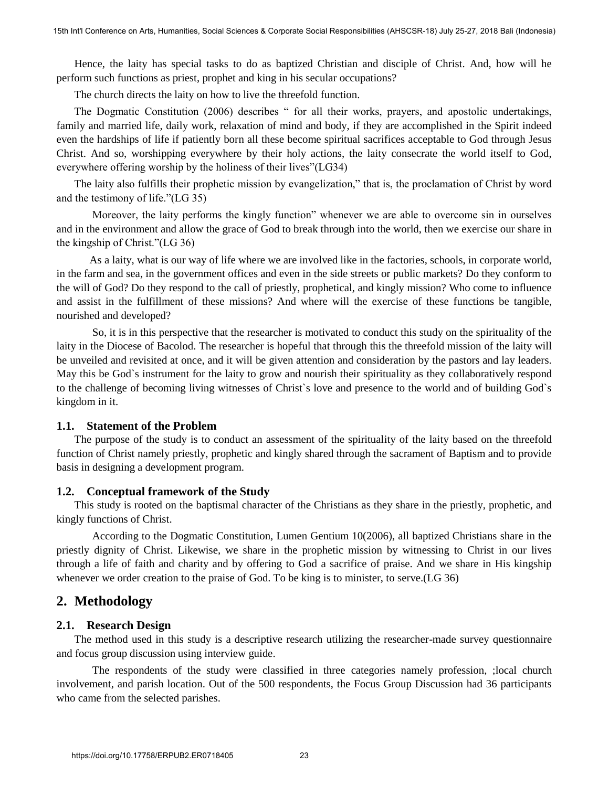Hence, the laity has special tasks to do as baptized Christian and disciple of Christ. And, how will he perform such functions as priest, prophet and king in his secular occupations?

The church directs the laity on how to live the threefold function.

The Dogmatic Constitution (2006) describes " for all their works, prayers, and apostolic undertakings, family and married life, daily work, relaxation of mind and body, if they are accomplished in the Spirit indeed even the hardships of life if patiently born all these become spiritual sacrifices acceptable to God through Jesus Christ. And so, worshipping everywhere by their holy actions, the laity consecrate the world itself to God, everywhere offering worship by the holiness of their lives"(LG34)

The laity also fulfills their prophetic mission by evangelization," that is, the proclamation of Christ by word and the testimony of life."(LG 35)

Moreover, the laity performs the kingly function" whenever we are able to overcome sin in ourselves and in the environment and allow the grace of God to break through into the world, then we exercise our share in the kingship of Christ."(LG 36)

 As a laity, what is our way of life where we are involved like in the factories, schools, in corporate world, in the farm and sea, in the government offices and even in the side streets or public markets? Do they conform to the will of God? Do they respond to the call of priestly, prophetical, and kingly mission? Who come to influence and assist in the fulfillment of these missions? And where will the exercise of these functions be tangible, nourished and developed?

 So, it is in this perspective that the researcher is motivated to conduct this study on the spirituality of the laity in the Diocese of Bacolod. The researcher is hopeful that through this the threefold mission of the laity will be unveiled and revisited at once, and it will be given attention and consideration by the pastors and lay leaders. May this be God`s instrument for the laity to grow and nourish their spirituality as they collaboratively respond to the challenge of becoming living witnesses of Christ`s love and presence to the world and of building God`s kingdom in it. 15th International Arts, Humanities, Social Sciences on Arts, Humanities, Humanities, America, David Corporate Societies and First Internal Arts between Arts, Humanities, The channel arts in the conference of the properti

### **1.1. Statement of the Problem**

The purpose of the study is to conduct an assessment of the spirituality of the laity based on the threefold function of Christ namely priestly, prophetic and kingly shared through the sacrament of Baptism and to provide basis in designing a development program.

# **1.2. Conceptual framework of the Study**

This study is rooted on the baptismal character of the Christians as they share in the priestly, prophetic, and kingly functions of Christ.

 According to the Dogmatic Constitution, Lumen Gentium 10(2006), all baptized Christians share in the priestly dignity of Christ. Likewise, we share in the prophetic mission by witnessing to Christ in our lives through a life of faith and charity and by offering to God a sacrifice of praise. And we share in His kingship whenever we order creation to the praise of God. To be king is to minister, to serve.(LG 36)

# **2. Methodology**

# **2.1. Research Design**

The method used in this study is a descriptive research utilizing the researcher-made survey questionnaire and focus group discussion using interview guide.

 The respondents of the study were classified in three categories namely profession, ;local church involvement, and parish location. Out of the 500 respondents, the Focus Group Discussion had 36 participants who came from the selected parishes.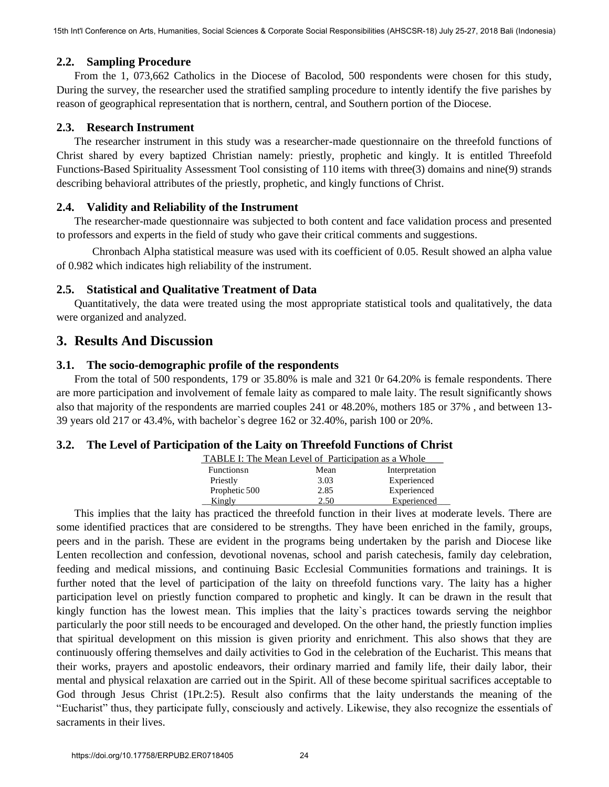## **2.2. Sampling Procedure**

From the 1, 073,662 Catholics in the Diocese of Bacolod, 500 respondents were chosen for this study, During the survey, the researcher used the stratified sampling procedure to intently identify the five parishes by reason of geographical representation that is northern, central, and Southern portion of the Diocese.

#### **2.3. Research Instrument**

The researcher instrument in this study was a researcher-made questionnaire on the threefold functions of Christ shared by every baptized Christian namely: priestly, prophetic and kingly. It is entitled Threefold Functions-Based Spirituality Assessment Tool consisting of 110 items with three(3) domains and nine(9) strands describing behavioral attributes of the priestly, prophetic, and kingly functions of Christ.

### **2.4. Validity and Reliability of the Instrument**

The researcher-made questionnaire was subjected to both content and face validation process and presented to professors and experts in the field of study who gave their critical comments and suggestions.

 Chronbach Alpha statistical measure was used with its coefficient of 0.05. Result showed an alpha value of 0.982 which indicates high reliability of the instrument.

### **2.5. Statistical and Qualitative Treatment of Data**

Quantitatively, the data were treated using the most appropriate statistical tools and qualitatively, the data were organized and analyzed.

# **3. Results And Discussion**

#### **3.1. The socio-demographic profile of the respondents**

From the total of 500 respondents, 179 or 35.80% is male and 321 0r 64.20% is female respondents. There are more participation and involvement of female laity as compared to male laity. The result significantly shows also that majority of the respondents are married couples 241 or 48.20%, mothers 185 or 37% , and between 13- 39 years old 217 or 43.4%, with bachelor`s degree 162 or 32.40%, parish 100 or 20%.

#### **3.2. The Level of Participation of the Laity on Threefold Functions of Christ**

| TABLE I: The Mean Level of Participation as a Whole |      |                |  |  |  |  |
|-----------------------------------------------------|------|----------------|--|--|--|--|
| Functionsn                                          | Mean | Interpretation |  |  |  |  |
| Priestly                                            | 3.03 | Experienced    |  |  |  |  |
| Prophetic 500                                       | 2.85 | Experienced    |  |  |  |  |

Kingly 2.50 Experienced This implies that the laity has practiced the threefold function in their lives at moderate levels. There are some identified practices that are considered to be strengths. They have been enriched in the family, groups, peers and in the parish. These are evident in the programs being undertaken by the parish and Diocese like Lenten recollection and confession, devotional novenas, school and parish catechesis, family day celebration, feeding and medical missions, and continuing Basic Ecclesial Communities formations and trainings. It is further noted that the level of participation of the laity on threefold functions vary. The laity has a higher participation level on priestly function compared to prophetic and kingly. It can be drawn in the result that kingly function has the lowest mean. This implies that the laity`s practices towards serving the neighbor particularly the poor still needs to be encouraged and developed. On the other hand, the priestly function implies that spiritual development on this mission is given priority and enrichment. This also shows that they are continuously offering themselves and daily activities to God in the celebration of the Eucharist. This means that their works, prayers and apostolic endeavors, their ordinary married and family life, their daily labor, their mental and physical relaxation are carried out in the Spirit. All of these become spiritual sacrifices acceptable to God through Jesus Christ (1Pt.2:5). Result also confirms that the laity understands the meaning of the "Eucharist" thus, they participate fully, consciously and actively. Likewise, they also recognize the essentials of sacraments in their lives. 15th International on Arts, Humanities (solitic for the proposition) And the main of the same of the same of the same of the same of the same of the same of the same of the same of the same of the same of the same of the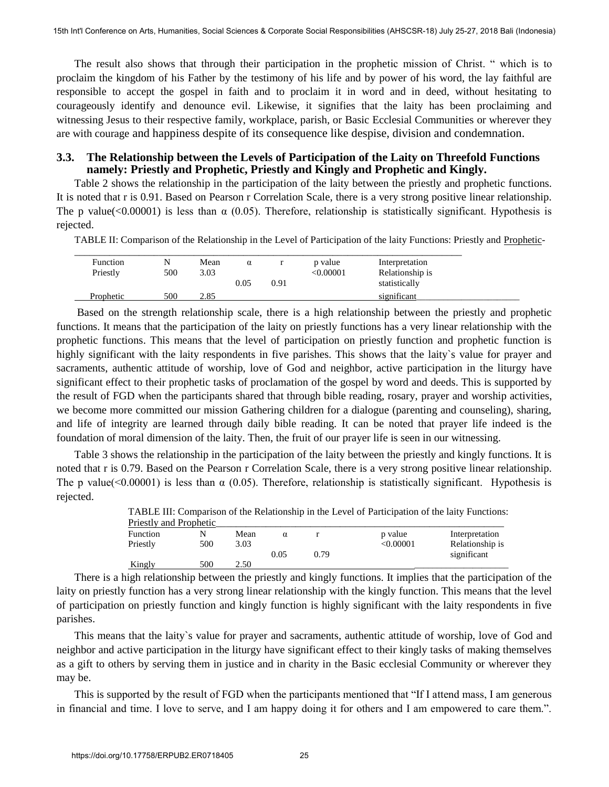The result also shows that through their participation in the prophetic mission of Christ. " which is to proclaim the kingdom of his Father by the testimony of his life and by power of his word, the lay faithful are responsible to accept the gospel in faith and to proclaim it in word and in deed, without hesitating to courageously identify and denounce evil. Likewise, it signifies that the laity has been proclaiming and witnessing Jesus to their respective family, workplace, parish, or Basic Ecclesial Communities or wherever they are with courage and happiness despite of its consequence like despise, division and condemnation.

#### **3.3. The Relationship between the Levels of Participation of the Laity on Threefold Functions namely: Priestly and Prophetic, Priestly and Kingly and Prophetic and Kingly.**

Table 2 shows the relationship in the participation of the laity between the priestly and prophetic functions. It is noted that r is 0.91. Based on Pearson r Correlation Scale, there is a very strong positive linear relationship. The p value( $\langle 0.00001 \rangle$ ) is less than  $\alpha$  (0.05). Therefore, relationship is statistically significant. Hypothesis is rejected.

TABLE II: Comparison of the Relationship in the Level of Participation of the laity Functions: Priestly and Prophetic-

| <b>Function</b><br>Priestly | N<br>500 | Mean<br>3.03 | $\alpha$<br>0.05 | 0.91 | p value<br>< 0.00001 | Interpretation<br>Relationship is<br>statistically |
|-----------------------------|----------|--------------|------------------|------|----------------------|----------------------------------------------------|
| Prophetic                   | 500      | 2.85         |                  |      |                      | significant                                        |

Based on the strength relationship scale, there is a high relationship between the priestly and prophetic functions. It means that the participation of the laity on priestly functions has a very linear relationship with the prophetic functions. This means that the level of participation on priestly function and prophetic function is highly significant with the laity respondents in five parishes. This shows that the laity's value for prayer and sacraments, authentic attitude of worship, love of God and neighbor, active participation in the liturgy have significant effect to their prophetic tasks of proclamation of the gospel by word and deeds. This is supported by the result of FGD when the participants shared that through bible reading, rosary, prayer and worship activities, we become more committed our mission Gathering children for a dialogue (parenting and counseling), sharing, and life of integrity are learned through daily bible reading. It can be noted that prayer life indeed is the foundation of moral dimension of the laity. Then, the fruit of our prayer life is seen in our witnessing. 15th Internations with Point Point Bali (Conference field point Science mixed by the more and the study and the field by the study of the study of the field by the study of the study of the study of the study of the study

Table 3 shows the relationship in the participation of the laity between the priestly and kingly functions. It is noted that r is 0.79. Based on the Pearson r Correlation Scale, there is a very strong positive linear relationship. The p value(<0.00001) is less than  $\alpha$  (0.05). Therefore, relationship is statistically significant. Hypothesis is rejected.

|                        |     |      |      |      | TABLE III: Comparison of the Relationship in the Level of Participation of the laity Functions: |                 |
|------------------------|-----|------|------|------|-------------------------------------------------------------------------------------------------|-----------------|
| Priestly and Prophetic |     |      |      |      |                                                                                                 |                 |
| Function               |     | Mean | α    |      | p value                                                                                         | Interpretation  |
| Priestly               | 500 | 3.03 |      |      | < 0.00001                                                                                       | Relationship is |
|                        |     |      | 0.05 | 0.79 |                                                                                                 | significant     |
| Kingly                 | 500 | 2.50 |      |      |                                                                                                 |                 |

There is a high relationship between the priestly and kingly functions. It implies that the participation of the laity on priestly function has a very strong linear relationship with the kingly function. This means that the level of participation on priestly function and kingly function is highly significant with the laity respondents in five parishes.

This means that the laity`s value for prayer and sacraments, authentic attitude of worship, love of God and neighbor and active participation in the liturgy have significant effect to their kingly tasks of making themselves as a gift to others by serving them in justice and in charity in the Basic ecclesial Community or wherever they may be.

This is supported by the result of FGD when the participants mentioned that "If I attend mass, I am generous in financial and time. I love to serve, and I am happy doing it for others and I am empowered to care them.".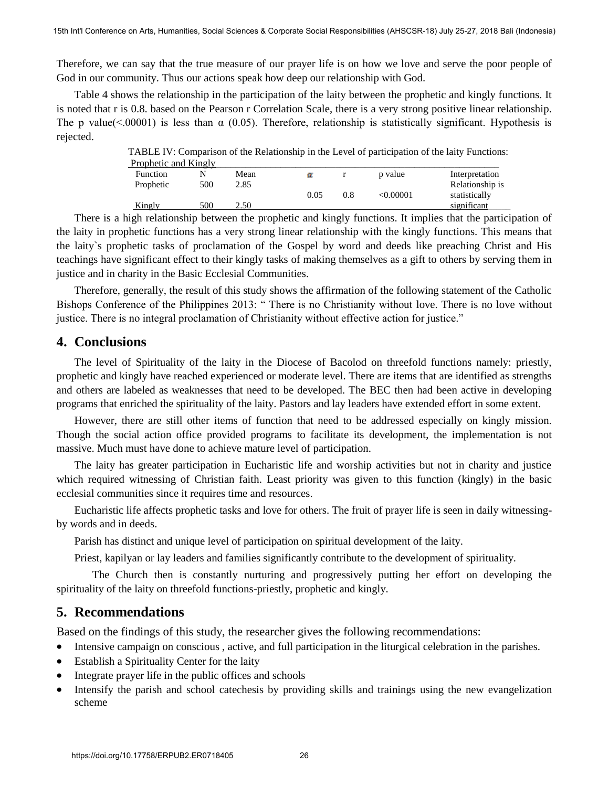Therefore, we can say that the true measure of our prayer life is on how we love and serve the poor people of God in our community. Thus our actions speak how deep our relationship with God.

Table 4 shows the relationship in the participation of the laity between the prophetic and kingly functions. It is noted that r is 0.8. based on the Pearson r Correlation Scale, there is a very strong positive linear relationship. The p value( $\leq$ 00001) is less than  $\alpha$  (0.05). Therefore, relationship is statistically significant. Hypothesis is rejected.

> TABLE IV: Comparison of the Relationship in the Level of participation of the laity Functions: Prophetic and Kingly

| Function  |     | Mean |      |     | p value        | Interpretation  |
|-----------|-----|------|------|-----|----------------|-----------------|
| Prophetic | 500 | 2.85 |      |     |                | Relationship is |
|           |     |      | 0.05 | 0.8 | $<\!\!0.00001$ | statistically   |
| Kingly    | 500 | 2.50 |      |     |                | significant     |

There is a high relationship between the prophetic and kingly functions. It implies that the participation of the laity in prophetic functions has a very strong linear relationship with the kingly functions. This means that the laity`s prophetic tasks of proclamation of the Gospel by word and deeds like preaching Christ and His teachings have significant effect to their kingly tasks of making themselves as a gift to others by serving them in justice and in charity in the Basic Ecclesial Communities. 15th Interior, Conference on Arts, Humanities (Addressing Corporate Sciences Arts (A) and We have the proper life is a current of the proper life is a current of the proper life is a current of the proper life is a curren

Therefore, generally, the result of this study shows the affirmation of the following statement of the Catholic Bishops Conference of the Philippines 2013: " There is no Christianity without love. There is no love without justice. There is no integral proclamation of Christianity without effective action for justice."

## **4. Conclusions**

The level of Spirituality of the laity in the Diocese of Bacolod on threefold functions namely: priestly, prophetic and kingly have reached experienced or moderate level. There are items that are identified as strengths and others are labeled as weaknesses that need to be developed. The BEC then had been active in developing programs that enriched the spirituality of the laity. Pastors and lay leaders have extended effort in some extent.

However, there are still other items of function that need to be addressed especially on kingly mission. Though the social action office provided programs to facilitate its development, the implementation is not massive. Much must have done to achieve mature level of participation.

The laity has greater participation in Eucharistic life and worship activities but not in charity and justice which required witnessing of Christian faith. Least priority was given to this function (kingly) in the basic ecclesial communities since it requires time and resources.

Eucharistic life affects prophetic tasks and love for others. The fruit of prayer life is seen in daily witnessingby words and in deeds.

Parish has distinct and unique level of participation on spiritual development of the laity.

Priest, kapilyan or lay leaders and families significantly contribute to the development of spirituality.

 The Church then is constantly nurturing and progressively putting her effort on developing the spirituality of the laity on threefold functions-priestly, prophetic and kingly.

# **5. Recommendations**

Based on the findings of this study, the researcher gives the following recommendations:

- Intensive campaign on conscious , active, and full participation in the liturgical celebration in the parishes.
- Establish a Spirituality Center for the laity
- Integrate prayer life in the public offices and schools
- Intensify the parish and school catechesis by providing skills and trainings using the new evangelization scheme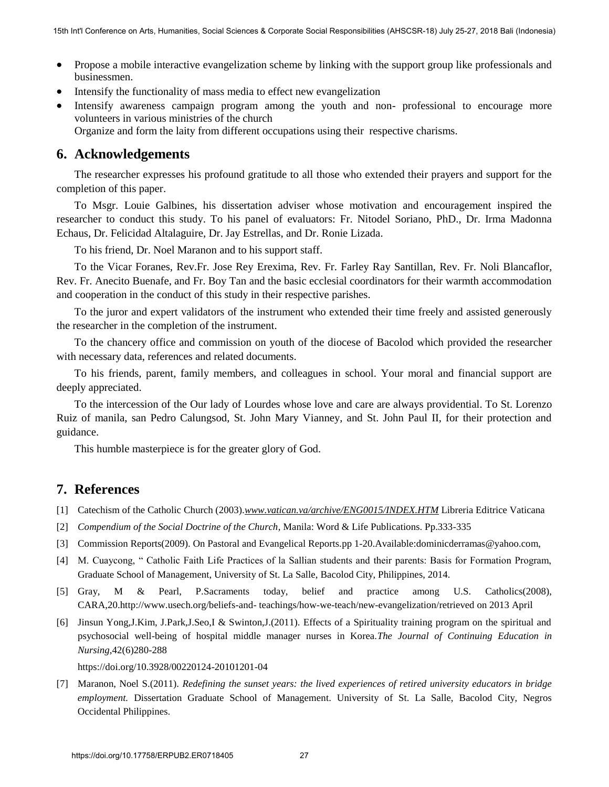- Propose a mobile interactive evangelization scheme by linking with the support group like professionals and businessmen.
- Intensify the functionality of mass media to effect new evangelization
- Intensify awareness campaign program among the youth and non- professional to encourage more volunteers in various ministries of the church Organize and form the laity from different occupations using their respective charisms.

# **6. Acknowledgements**

The researcher expresses his profound gratitude to all those who extended their prayers and support for the completion of this paper.

To Msgr. Louie Galbines, his dissertation adviser whose motivation and encouragement inspired the researcher to conduct this study. To his panel of evaluators: Fr. Nitodel Soriano, PhD., Dr. Irma Madonna Echaus, Dr. Felicidad Altalaguire, Dr. Jay Estrellas, and Dr. Ronie Lizada.

To his friend, Dr. Noel Maranon and to his support staff.

To the Vicar Foranes, Rev.Fr. Jose Rey Erexima, Rev. Fr. Farley Ray Santillan, Rev. Fr. Noli Blancaflor, Rev. Fr. Anecito Buenafe, and Fr. Boy Tan and the basic ecclesial coordinators for their warmth accommodation and cooperation in the conduct of this study in their respective parishes. 15th Internation or Arts, Humanities (social Sciences Sciences Sciences on Arts, Humanities, Australia Sciences Australia Corporation Sciences & Corporation Sciences (AMSCS-18) July 25 procedure and the material Responsib

To the juror and expert validators of the instrument who extended their time freely and assisted generously the researcher in the completion of the instrument.

To the chancery office and commission on youth of the diocese of Bacolod which provided the researcher with necessary data, references and related documents.

To his friends, parent, family members, and colleagues in school. Your moral and financial support are deeply appreciated.

To the intercession of the Our lady of Lourdes whose love and care are always providential. To St. Lorenzo Ruiz of manila, san Pedro Calungsod, St. John Mary Vianney, and St. John Paul II, for their protection and guidance.

This humble masterpiece is for the greater glory of God.

# **7. References**

- [1] Catechism of the Catholic Church (2003).*www.vatican.va/archive/ENG0015/INDEX.HTM* Libreria Editrice Vaticana
- [2] *Compendium of the Social Doctrine of the Church*, Manila: Word & Life Publications. Pp.333-335
- [3] Commission Reports(2009). On Pastoral and Evangelical Reports.pp 1-20.Available:dominicderramas@yahoo.com,
- [4] M. Cuaycong, " Catholic Faith Life Practices of la Sallian students and their parents: Basis for Formation Program, Graduate School of Management, University of St. La Salle, Bacolod City, Philippines, 2014.
- [5] Gray, M & Pearl, P.Sacraments today, belief and practice among U.S. Catholics(2008), CARA,20.http://www.usech.org/beliefs-and- teachings/how-we-teach/new-evangelization/retrieved on 2013 April
- [6] Jinsun Yong,J.Kim, J.Park,J.Seo,I & Swinton,J.(2011). Effects of a Spirituality training program on the spiritual and psychosocial well-being of hospital middle manager nurses in Korea.*The Journal of Continuing Education in Nursing,*42(6)280-288

https://doi.org/10.3928/00220124-20101201-04

[7] Maranon, Noel S.(2011). *Redefining the sunset years: the lived experiences of retired university educators in bridge employment.* Dissertation Graduate School of Management. University of St. La Salle, Bacolod City, Negros Occidental Philippines.